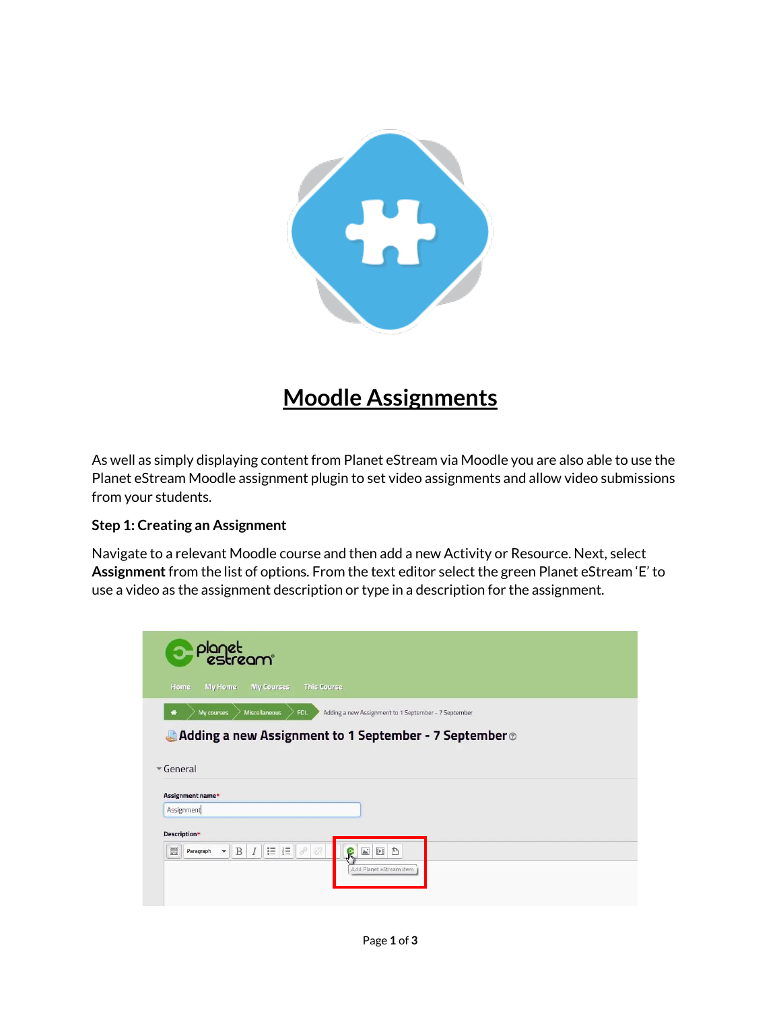

## **Moodle Assignments**

As well as simply displaying content from Planet eStream via Moodle you are also able to use the Planet eStream Moodle assignment plugin to set video assignments and allow video submissions from your students.

## **Step 1: Creating an Assignment**

Navigate to a relevant Moodle course and then add a new Activity or Resource. Next, select **Assignment** from the list of options. From the text editor select the green Planet eStream 'E' to use a video as the assignment description or type in a description for the assignment.

| <b>Planet</b>                                                                                  |                                                                    |  |
|------------------------------------------------------------------------------------------------|--------------------------------------------------------------------|--|
| Home<br><b>My Home</b><br><b>My Courses</b>                                                    | <b>This Course</b>                                                 |  |
| Miscellaneous<br>My courses                                                                    | Adding a new Assignment to 1 September - 7 September<br><b>FOL</b> |  |
|                                                                                                | Adding a new Assignment to 1 September - 7 September ®             |  |
|                                                                                                |                                                                    |  |
| $\sqrt{G}$ eneral                                                                              |                                                                    |  |
| Assignment name*                                                                               |                                                                    |  |
| Assignment                                                                                     |                                                                    |  |
| Description*                                                                                   |                                                                    |  |
| $\equiv$ $\equiv$ $\sim$<br>$\overline{I}$<br>E.<br>B<br>$\overline{\phantom{a}}$<br>Paragraph | 88<br>$\mathbb{A}^*$<br>$\mathbb{H}$<br>$\mathbb{P}$<br>R          |  |
|                                                                                                | Add Planet eStream item                                            |  |
|                                                                                                |                                                                    |  |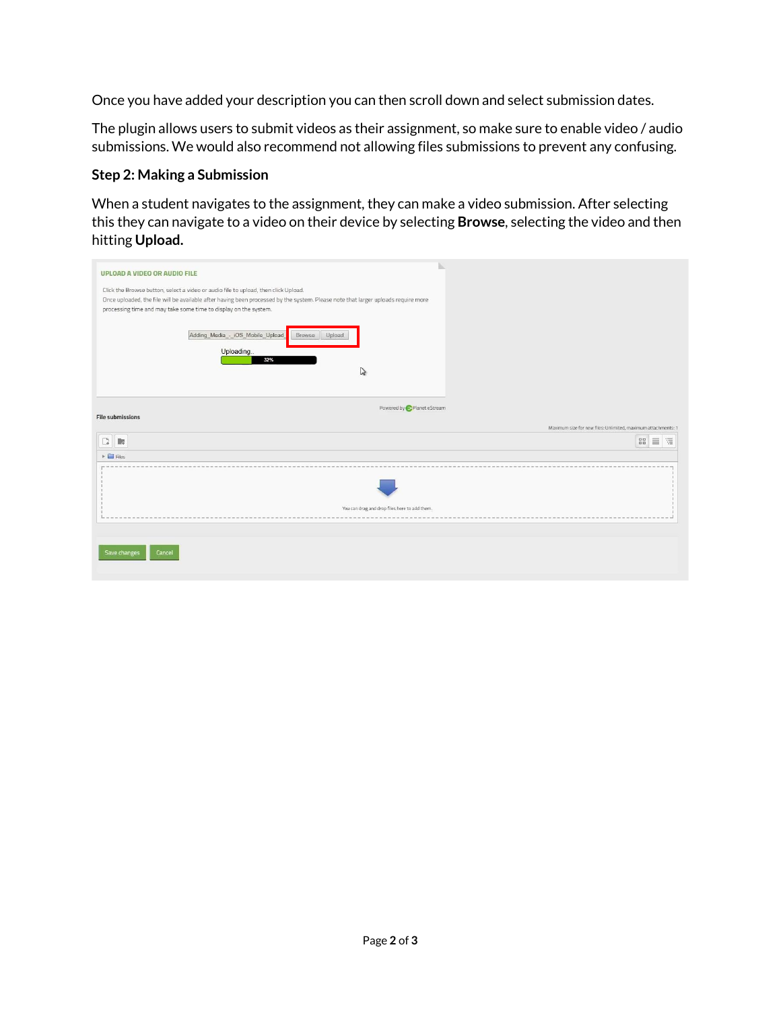Once you have added your description you can then scroll down and select submission dates.

The plugin allows users to submit videos as their assignment, so make sure to enable video / audio submissions. We would also recommend not allowing files submissions to prevent any confusing.

## **Step 2: Making a Submission**

When a student navigates to the assignment, they can make a video submission. After selecting this they can navigate to a video on their device by selecting **Browse**, selecting the video and then hitting **Upload.**

| UPLOAD A VIDEO OR AUDIO FILE                                                                                                                   |
|------------------------------------------------------------------------------------------------------------------------------------------------|
| Click the Browse button, select a video or audio file to upload, then click Upload.                                                            |
|                                                                                                                                                |
| Once uploaded, the file will be available after having been processed by the system. Please note that larger uploads require more              |
| processing time and may take some time to display on the system.                                                                               |
| Adding Media - iOS Mobile Upload<br>Browse<br>Upload<br>Uploading<br>32%<br>V<br>Powered by <b>C</b> Planet eStream<br><b>File submissions</b> |
|                                                                                                                                                |
| Maximum size for new files: Unlimited, maximum attachments: 1                                                                                  |
| 88<br>$\widetilde{\Xi}$<br>$\equiv$<br>C<br>腰                                                                                                  |
| $\triangleright$ $\blacksquare$ Files                                                                                                          |
|                                                                                                                                                |
|                                                                                                                                                |
|                                                                                                                                                |
| You can drag and drop files here to add them.                                                                                                  |
|                                                                                                                                                |
|                                                                                                                                                |
|                                                                                                                                                |
|                                                                                                                                                |